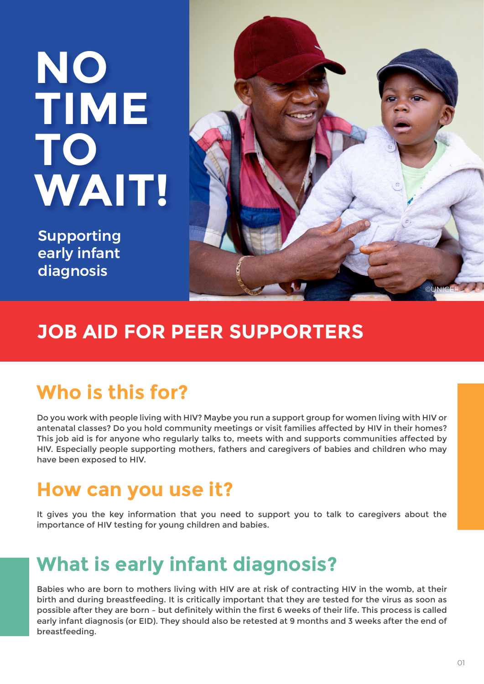# **NO TIME TO WAIT!**

Supporting early infant diagnosis



### **JOB AID FOR PEER SUPPORTERS**

# **Who is this for?**

Do you work with people living with HIV? Maybe you run a support group for women living with HIV or antenatal classes? Do you hold community meetings or visit families affected by HIV in their homes? This job aid is for anyone who regularly talks to, meets with and supports communities affected by HIV. Especially people supporting mothers, fathers and caregivers of babies and children who may have been exposed to HIV.

## **How can you use it?**

It gives you the key information that you need to support you to talk to caregivers about the importance of HIV testing for young children and babies.

# **What is early infant diagnosis?**

Babies who are born to mothers living with HIV are at risk of contracting HIV in the womb, at their birth and during breastfeeding. It is critically important that they are tested for the virus as soon as possible after they are born – but definitely within the first 6 weeks of their life. This process is called early infant diagnosis (or EID). They should also be retested at 9 months and 3 weeks after the end of breastfeeding.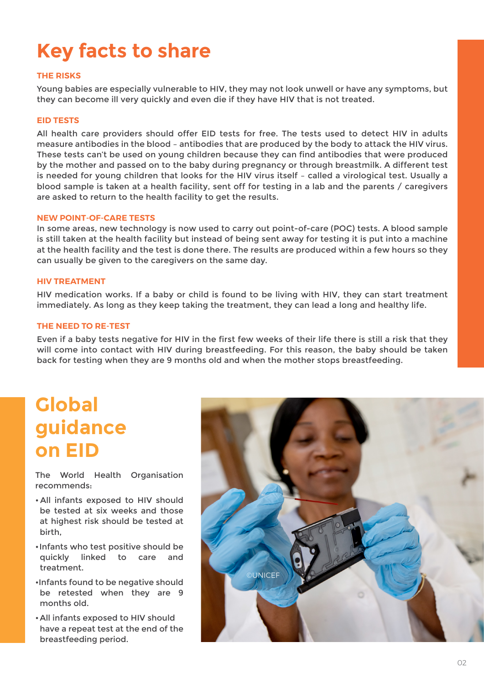# **Key facts to share**

#### **THE RISKS**

Young babies are especially vulnerable to HIV, they may not look unwell or have any symptoms, but they can become ill very quickly and even die if they have HIV that is not treated.

#### **EID TESTS**

All health care providers should offer EID tests for free. The tests used to detect HIV in adults measure antibodies in the blood – antibodies that are produced by the body to attack the HIV virus. These tests can't be used on young children because they can find antibodies that were produced by the mother and passed on to the baby during pregnancy or through breastmilk. A different test is needed for young children that looks for the HIV virus itself – called a virological test. Usually a blood sample is taken at a health facility, sent off for testing in a lab and the parents / caregivers are asked to return to the health facility to get the results.

#### **NEW POINT-OF-CARE TESTS**

In some areas, new technology is now used to carry out point-of-care (POC) tests. A blood sample is still taken at the health facility but instead of being sent away for testing it is put into a machine at the health facility and the test is done there. The results are produced within a few hours so they can usually be given to the caregivers on the same day.

#### **HIV TREATMENT**

HIV medication works. If a baby or child is found to be living with HIV, they can start treatment immediately. As long as they keep taking the treatment, they can lead a long and healthy life.

#### **THE NEED TO RE-TEST**

Even if a baby tests negative for HIV in the first few weeks of their life there is still a risk that they will come into contact with HIV during breastfeeding. For this reason, the baby should be taken back for testing when they are 9 months old and when the mother stops breastfeeding.

### **Global guidance on EID**

The World Health Organisation recommends:

- All infants exposed to HIV should be tested at six weeks and those at highest risk should be tested at birth,
- •Infants who test positive should be quickly linked to care and treatment.
- •Infants found to be negative should be retested when they are 9 months old.
- •All infants exposed to HIV should have a repeat test at the end of the breastfeeding period.